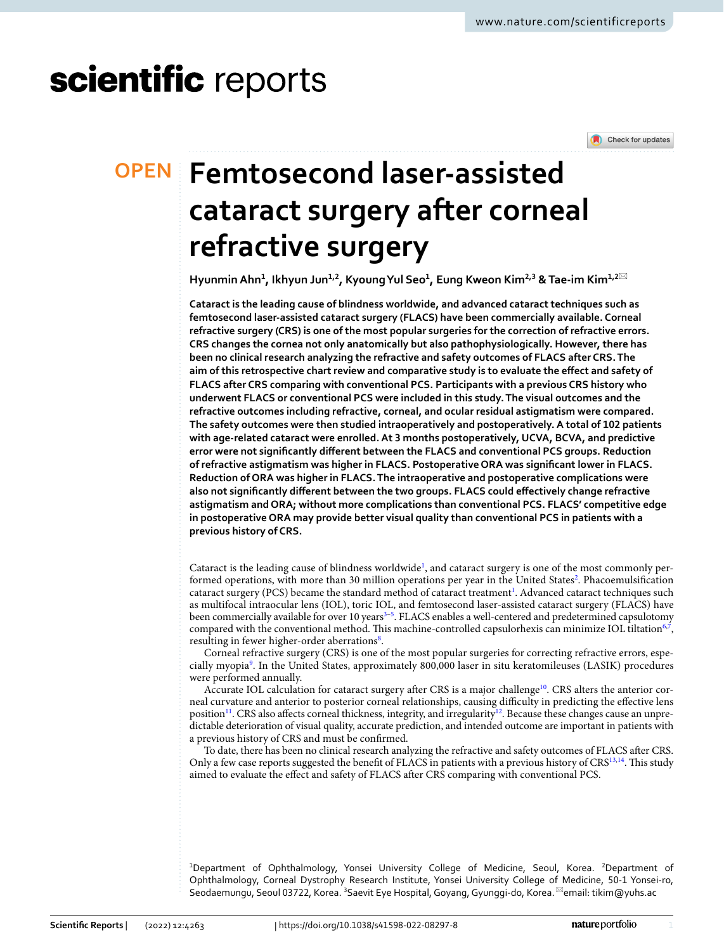# scientific reports

Check for updates

## **Femtosecond laser‑assisted OPEN cataract surgery after corneal refractive surgery**

 ${\sf Hyunmin}$  Ahn $^1$ , Ikhyun Jun $^{1,2}$ , Kyoung Yul Seo $^1$ , Eung Kweon Kim $^{2,3}$  & Tae-im Kim $^{1,2\boxtimes}$ 

**Cataract is the leading cause of blindness worldwide, and advanced cataract techniques such as femtosecond laser-assisted cataract surgery (FLACS) have been commercially available. Corneal refractive surgery (CRS) is one of the most popular surgeries for the correction of refractive errors. CRS changes the cornea not only anatomically but also pathophysiologically. However, there has been no clinical research analyzing the refractive and safety outcomes of FLACS after CRS. The aim of this retrospective chart review and comparative study is to evaluate the efect and safety of FLACS after CRS comparing with conventional PCS. Participants with a previous CRS history who underwent FLACS or conventional PCS were included in this study. The visual outcomes and the refractive outcomes including refractive, corneal, and ocular residual astigmatism were compared. The safety outcomes were then studied intraoperatively and postoperatively. A total of 102 patients with age-related cataract were enrolled. At 3 months postoperatively, UCVA, BCVA, and predictive error were not signifcantly diferent between the FLACS and conventional PCS groups. Reduction of refractive astigmatism was higher in FLACS. Postoperative ORA was signifcant lower in FLACS. Reduction of ORA was higher in FLACS. The intraoperative and postoperative complications were also not signifcantly diferent between the two groups. FLACS could efectively change refractive astigmatism and ORA; without more complications than conventional PCS. FLACS' competitive edge in postoperative ORA may provide better visual quality than conventional PCS in patients with a previous history of CRS.**

Cataract is the leading cause of blindness worldwide<sup>[1](#page-5-0)</sup>, and cataract surgery is one of the most commonly per-formed operations, with more than 30 million operations per year in the United States<sup>[2](#page-5-1)</sup>. Phacoemulsification cataract surgery (PCS) became the standard method of cataract treatment<sup>[1](#page-5-0)</sup>. Advanced cataract techniques such as multifocal intraocular lens (IOL), toric IOL, and femtosecond laser-assisted cataract surgery (FLACS) have been commercially available for over 10 years<sup>[3](#page-5-2)-5</sup>. FLACS enables a well-centered and predetermined capsulotomy compared with the conventional method. This machine-controlled capsulorhexis can minimize IOL tiltation<sup>6[,7](#page-5-5)</sup>, resulting in fewer higher-order aberrations<sup>[8](#page-5-6)</sup>.

Corneal refractive surgery (CRS) is one of the most popular surgeries for correcting refractive errors, especially myopia<sup>9</sup>. In the United States, approximately 800,000 laser in situ keratomileuses (LASIK) procedures were performed annually.

Accurate IOL calculation for cataract surgery after CRS is a major challenge<sup>10</sup>. CRS alters the anterior corneal curvature and anterior to posterior corneal relationships, causing difculty in predicting the efective lens position<sup>11</sup>. CRS also affects corneal thickness, integrity, and irregularity<sup>12</sup>. Because these changes cause an unpredictable deterioration of visual quality, accurate prediction, and intended outcome are important in patients with a previous history of CRS and must be confrmed.

To date, there has been no clinical research analyzing the refractive and safety outcomes of FLACS afer CRS. Only a few case reports suggested the benefit of FLACS in patients with a previous history of CRS<sup>13,14</sup>. This study aimed to evaluate the efect and safety of FLACS afer CRS comparing with conventional PCS.

<sup>1</sup>Department of Ophthalmology, Yonsei University College of Medicine, Seoul, Korea. <sup>2</sup>Department of Ophthalmology, Corneal Dystrophy Research Institute, Yonsei University College of Medicine, 50‑1 Yonsei‑ro, Seodaemungu, Seoul 03722, Korea. <sup>3</sup>Saevit Eye Hospital, Goyang, Gyunggi-do, Korea. <sup>⊠</sup>email: tikim@yuhs.ac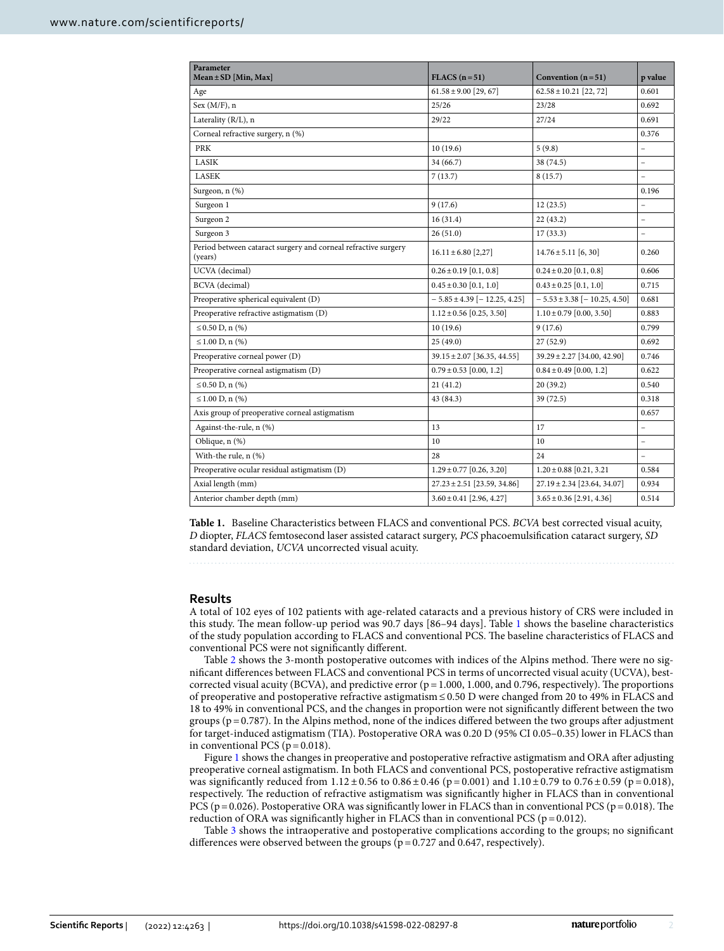| Parameter<br>$Mean \pm SD$ [Min, Max]                                     | $FLACS (n=51)$                      | Convention $(n=51)$                 | p value                  |
|---------------------------------------------------------------------------|-------------------------------------|-------------------------------------|--------------------------|
| Age                                                                       | $61.58 \pm 9.00$ [29, 67]           | $62.58 \pm 10.21$ [22, 72]          | 0.601                    |
| Sex $(M/F)$ , n                                                           | 25/26                               | 23/28                               | 0.692                    |
| Laterality (R/L), n                                                       | 29/22                               | 27/24                               | 0.691                    |
| Corneal refractive surgery, n (%)                                         |                                     |                                     | 0.376                    |
| <b>PRK</b>                                                                | 10(19.6)                            | 5(9.8)                              | $\overline{\phantom{a}}$ |
| LASIK                                                                     | 34 (66.7)                           | 38 (74.5)                           | $\overline{\phantom{0}}$ |
| <b>LASEK</b>                                                              | 7(13.7)                             | 8(15.7)                             | $\overline{\phantom{0}}$ |
| Surgeon, n (%)                                                            |                                     |                                     | 0.196                    |
| Surgeon 1                                                                 | 9(17.6)                             | 12(23.5)                            | L,                       |
| Surgeon 2                                                                 | 16(31.4)                            | 22(43.2)                            | $\overline{\phantom{a}}$ |
| Surgeon 3                                                                 | 26(51.0)                            | 17(33.3)                            |                          |
| Period between cataract surgery and corneal refractive surgery<br>(years) | $16.11 \pm 6.80$ [2,27]             | $14.76 \pm 5.11$ [6, 30]            | 0.260                    |
| UCVA (decimal)                                                            | $0.26 \pm 0.19$ [0.1, 0.8]          | $0.24 \pm 0.20$ [0.1, 0.8]          | 0.606                    |
| <b>BCVA</b> (decimal)                                                     | $0.45 \pm 0.30$ [0.1, 1.0]          | $0.43 \pm 0.25$ [0.1, 1.0]          | 0.715                    |
| Preoperative spherical equivalent (D)                                     | $-5.85 \pm 4.39$ [ $-12.25, 4.25$ ] | $-5.53 \pm 3.38$ [ $-10.25, 4.50$ ] | 0.681                    |
| Preoperative refractive astigmatism (D)                                   | $1.12 \pm 0.56$ [0.25, 3.50]        | $1.10 \pm 0.79$ [0.00, 3.50]        | 0.883                    |
| $\leq$ 0.50 D, n $(\% )$                                                  | 10(19.6)                            | 9(17.6)                             | 0.799                    |
| $\leq 1.00$ D, n $(\% )$                                                  | 25(49.0)                            | 27(52.9)                            | 0.692                    |
| Preoperative corneal power (D)                                            | 39.15 ± 2.07 [36.35, 44.55]         | $39.29 \pm 2.27$ [34.00, 42.90]     | 0.746                    |
| Preoperative corneal astigmatism (D)                                      | $0.79 \pm 0.53$ [0.00, 1.2]         | $0.84 \pm 0.49$ [0.00, 1.2]         | 0.622                    |
| $\leq 0.50$ D, n $(\% )$                                                  | 21(41.2)                            | 20(39.2)                            | 0.540                    |
| $\leq 1.00$ D, n $(\% )$                                                  | 43 (84.3)                           | 39 (72.5)                           | 0.318                    |
| Axis group of preoperative corneal astigmatism                            |                                     |                                     | 0.657                    |
| Against-the-rule, n (%)                                                   | 13                                  | 17                                  |                          |
| Oblique, n (%)                                                            | 10                                  | 10                                  | L,                       |
| With-the rule, n (%)                                                      | 28                                  | 24                                  | $\equiv$                 |
| Preoperative ocular residual astigmatism (D)                              | $1.29 \pm 0.77$ [0.26, 3.20]        | $1.20 \pm 0.88$ [0.21, 3.21]        | 0.584                    |
| Axial length (mm)                                                         | $27.23 \pm 2.51$ [23.59, 34.86]     | $27.19 \pm 2.34$ [23.64, 34.07]     | 0.934                    |
| Anterior chamber depth (mm)                                               | $3.60 \pm 0.41$ [2.96, 4.27]        | $3.65 \pm 0.36$ [2.91, 4.36]        | 0.514                    |

<span id="page-1-0"></span>**Table 1.** Baseline Characteristics between FLACS and conventional PCS. *BCVA* best corrected visual acuity, *D* diopter, *FLACS* femtosecond laser assisted cataract surgery, *PCS* phacoemulsifcation cataract surgery, *SD* standard deviation, *UCVA* uncorrected visual acuity.

#### **Results**

A total of 102 eyes of 102 patients with age-related cataracts and a previous history of CRS were included in this study. The mean follow-up period was 90.7 days [86–94 days]. Table [1](#page-1-0) shows the baseline characteristics of the study population according to FLACS and conventional PCS. The baseline characteristics of FLACS and conventional PCS were not signifcantly diferent.

Table [2](#page-2-0) shows the 3-month postoperative outcomes with indices of the Alpins method. There were no signifcant diferences between FLACS and conventional PCS in terms of uncorrected visual acuity (UCVA), bestcorrected visual acuity (BCVA), and predictive error ( $p = 1.000$ , 1.000, and 0.796, respectively). The proportions of preoperative and postoperative refractive astigmatism≤0.50 D were changed from 20 to 49% in FLACS and 18 to 49% in conventional PCS, and the changes in proportion were not signifcantly diferent between the two groups ( $p=0.787$ ). In the Alpins method, none of the indices differed between the two groups after adjustment for target-induced astigmatism (TIA). Postoperative ORA was 0.20 D (95% CI 0.05–0.35) lower in FLACS than in conventional PCS ( $p = 0.018$ ).

Figure [1](#page-2-1) shows the changes in preoperative and postoperative refractive astigmatism and ORA afer adjusting preoperative corneal astigmatism. In both FLACS and conventional PCS, postoperative refractive astigmatism was significantly reduced from  $1.12 \pm 0.56$  to  $0.86 \pm 0.46$  (p = 0.001) and  $1.10 \pm 0.79$  to  $0.76 \pm 0.59$  (p = 0.018), respectively. The reduction of refractive astigmatism was significantly higher in FLACS than in conventional PCS ( $p = 0.026$ ). Postoperative ORA was significantly lower in FLACS than in conventional PCS ( $p = 0.018$ ). The reduction of ORA was significantly higher in FLACS than in conventional PCS ( $p = 0.012$ ).

Table [3](#page-3-0) shows the intraoperative and postoperative complications according to the groups; no signifcant differences were observed between the groups ( $p=0.727$  and 0.647, respectively).

2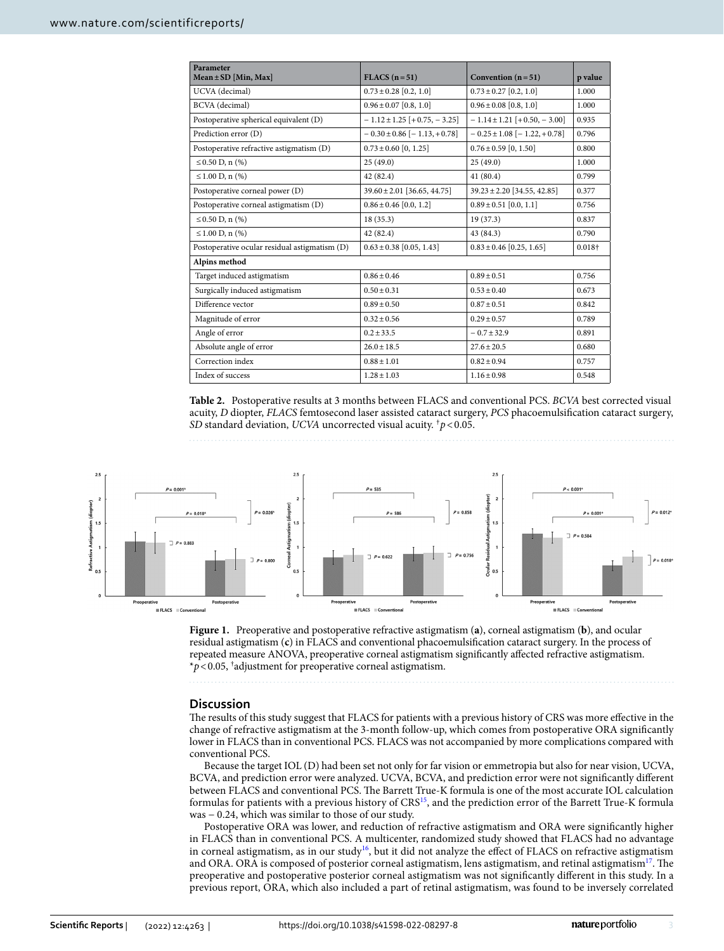| Parameter<br>$Mean \pm SD$ [Min, Max]         | $FLACS (n=51)$                      | Convention $(n=51)$                 | p value |
|-----------------------------------------------|-------------------------------------|-------------------------------------|---------|
| UCVA (decimal)                                | $0.73 \pm 0.28$ [0.2, 1.0]          | $0.73 \pm 0.27$ [0.2, 1.0]          | 1.000   |
| BCVA (decimal)                                | $0.96 \pm 0.07$ [0.8, 1.0]          | $0.96 \pm 0.08$ [0.8, 1.0]          | 1.000   |
| Postoperative spherical equivalent (D)        | $-1.12 \pm 1.25$ [+0.75, -3.25]     | $-1.14 \pm 1.21$ [+0.50, -3.00]     | 0.935   |
| Prediction error (D)                          | $-0.30 \pm 0.86$ [ $-1.13, +0.78$ ] | $-0.25 \pm 1.08$ [ $-1.22, +0.78$ ] | 0.796   |
| Postoperative refractive astigmatism (D)      | $0.73 \pm 0.60$ [0, 1.25]           | $0.76 \pm 0.59$ [0, 1.50]           | 0.800   |
| $\leq 0.50$ D, n $(\% )$                      | 25(49.0)                            | 25(49.0)                            | 1.000   |
| $\leq 1.00$ D, n $(\% )$                      | 42 (82.4)                           | 41(80.4)                            | 0.799   |
| Postoperative corneal power (D)               | $39.60 \pm 2.01$ [36.65, 44.75]     | $39.23 \pm 2.20$ [34.55, 42.85]     | 0.377   |
| Postoperative corneal astigmatism (D)         | $0.86 \pm 0.46$ [0.0, 1.2]          | $0.89 \pm 0.51$ [0.0, 1.1]          | 0.756   |
| $\leq 0.50$ D, n $(\% )$                      | 18(35.3)                            | 19 (37.3)                           | 0.837   |
| $\leq 1.00$ D, n $(\% )$                      | 42 (82.4)                           | 43 (84.3)                           | 0.790   |
| Postoperative ocular residual astigmatism (D) | $0.63 \pm 0.38$ [0.05, 1.43]        | $0.83 \pm 0.46$ [0.25, 1.65]        | 0.018+  |
| Alpins method                                 |                                     |                                     |         |
| Target induced astigmatism                    | $0.86 + 0.46$                       | $0.89 + 0.51$                       | 0.756   |
| Surgically induced astigmatism                | $0.50 \pm 0.31$                     | $0.53 + 0.40$                       | 0.673   |
| Difference vector                             | $0.89 \pm 0.50$                     | $0.87 \pm 0.51$                     | 0.842   |
| Magnitude of error                            | $0.32 \pm 0.56$                     | $0.29 \pm 0.57$                     | 0.789   |
| Angle of error                                | $0.2 \pm 33.5$                      | $-0.7 \pm 32.9$                     | 0.891   |
| Absolute angle of error                       | $26.0 \pm 18.5$                     | $27.6 \pm 20.5$                     | 0.680   |
| Correction index                              | $0.88 \pm 1.01$                     | $0.82 \pm 0.94$                     | 0.757   |
| Index of success                              | $1.28 + 1.03$                       | $1.16 + 0.98$                       | 0.548   |

<span id="page-2-0"></span>**Table 2.** Postoperative results at 3 months between FLACS and conventional PCS. *BCVA* best corrected visual acuity, *D* diopter, *FLACS* femtosecond laser assisted cataract surgery, *PCS* phacoemulsifcation cataract surgery, *SD* standard deviation, *UCVA* uncorrected visual acuity. †*p*<0.05.



<span id="page-2-1"></span>

#### **Discussion**

The results of this study suggest that FLACS for patients with a previous history of CRS was more effective in the change of refractive astigmatism at the 3-month follow-up, which comes from postoperative ORA signifcantly lower in FLACS than in conventional PCS. FLACS was not accompanied by more complications compared with conventional PCS.

Because the target IOL (D) had been set not only for far vision or emmetropia but also for near vision, UCVA, BCVA, and prediction error were analyzed. UCVA, BCVA, and prediction error were not signifcantly diferent between FLACS and conventional PCS. The Barrett True-K formula is one of the most accurate IOL calculation formulas for patients with a previous history of CRS<sup>[15](#page-5-13)</sup>, and the prediction error of the Barrett True-K formula was − 0.24, which was similar to those of our study.

Postoperative ORA was lower, and reduction of refractive astigmatism and ORA were signifcantly higher in FLACS than in conventional PCS. A multicenter, randomized study showed that FLACS had no advantage in corneal astigmatism, as in our study<sup>[16](#page-5-14)</sup>, but it did not analyze the effect of FLACS on refractive astigmatism and ORA. ORA is composed of posterior corneal astigmatism, lens astigmatism, and retinal astigmatism<sup>17</sup>. The preoperative and postoperative posterior corneal astigmatism was not signifcantly diferent in this study. In a previous report, ORA, which also included a part of retinal astigmatism, was found to be inversely correlated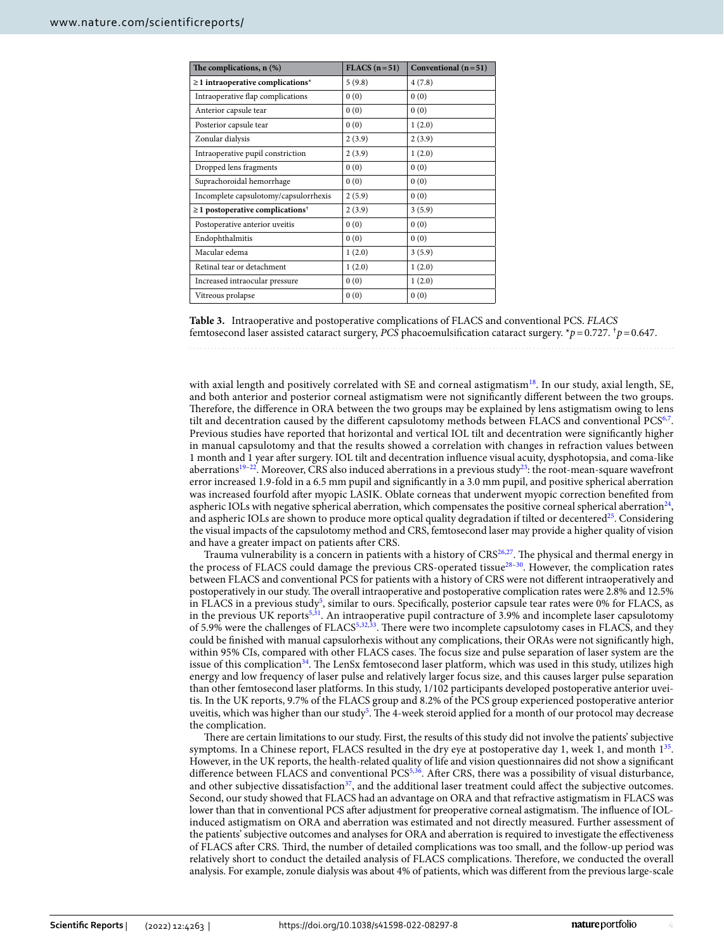| The complications, $n$ $%$                        | $FLACS (n=51)$ | Conventional $(n=51)$ |
|---------------------------------------------------|----------------|-----------------------|
| $\geq$ 1 intraoperative complications*            | 5(9.8)         | 4(7.8)                |
| Intraoperative flap complications                 | 0(0)           | 0(0)                  |
| Anterior capsule tear                             | 0(0)           | 0(0)                  |
| Posterior capsule tear                            | 0(0)           | 1(2.0)                |
| Zonular dialysis                                  | 2(3.9)         | 2(3.9)                |
| Intraoperative pupil constriction                 | 2(3.9)         | 1(2.0)                |
| Dropped lens fragments                            | 0(0)           | 0(0)                  |
| Suprachoroidal hemorrhage                         | 0(0)           | 0(0)                  |
| Incomplete capsulotomy/capsulorrhexis             | 2(5.9)         | 0(0)                  |
| $\geq$ 1 postoperative complications <sup>†</sup> | 2(3.9)         | 3(5.9)                |
| Postoperative anterior uveitis                    | 0(0)           | 0(0)                  |
| Endophthalmitis                                   | 0(0)           | 0(0)                  |
| Macular edema                                     | 1(2.0)         | 3(5.9)                |
| Retinal tear or detachment                        | 1(2.0)         | 1(2.0)                |
| Increased intraocular pressure                    | 0(0)           | 1(2.0)                |
| Vitreous prolapse                                 | 0(0)           | 0(0)                  |

<span id="page-3-0"></span>**Table 3.** Intraoperative and postoperative complications of FLACS and conventional PCS. *FLACS* femtosecond laser assisted cataract surgery, *PCS* phacoemulsifcation cataract surgery. \**p*=0.727. †*p*=0.647.

with axial length and positively correlated with SE and corneal astigmatism<sup>18</sup>. In our study, axial length, SE, and both anterior and posterior corneal astigmatism were not signifcantly diferent between the two groups. Therefore, the difference in ORA between the two groups may be explained by lens astigmatism owing to lens tilt and decentration caused by the different capsulotomy methods between FLACS and conventional PCS<sup>[6](#page-5-4)[,7](#page-5-5)</sup>. Previous studies have reported that horizontal and vertical IOL tilt and decentration were signifcantly higher in manual capsulotomy and that the results showed a correlation with changes in refraction values between 1 month and 1 year afer surgery. IOL tilt and decentration infuence visual acuity, dysphotopsia, and coma-like aberrations<sup>[19](#page-5-17)[–22](#page-5-18)</sup>. Moreover, CRS also induced aberrations in a previous study<sup>23</sup>: the root-mean-square wavefront error increased 1.9-fold in a 6.5 mm pupil and signifcantly in a 3.0 mm pupil, and positive spherical aberration was increased fourfold afer myopic LASIK. Oblate corneas that underwent myopic correction benefted from aspheric IOLs with negative spherical aberration, which compensates the positive corneal spherical aberration $24$ , and aspheric IOLs are shown to produce more optical quality degradation if tilted or decentered<sup>[25](#page-5-21)</sup>. Considering the visual impacts of the capsulotomy method and CRS, femtosecond laser may provide a higher quality of vision and have a greater impact on patients afer CRS.

Trauma vulnerability is a concern in patients with a history of  $CRS^{26,27}$  $CRS^{26,27}$  $CRS^{26,27}$  $CRS^{26,27}$  $CRS^{26,27}$ . The physical and thermal energy in the process of FLACS could damage the previous CRS-operated tissue[28](#page-5-24)–[30](#page-5-25). However, the complication rates between FLACS and conventional PCS for patients with a history of CRS were not diferent intraoperatively and postoperatively in our study. The overall intraoperative and postoperative complication rates were 2.8% and 12.5% in FLACS in a previous study<sup>[5](#page-5-3)</sup>, similar to ours. Specifically, posterior capsule tear rates were 0% for FLACS, as in the previous UK reports<sup>5,31</sup>. An intraoperative pupil contracture of 3.9% and incomplete laser capsulotomy of 5.9% were the challenges of FLACS<sup>[5,](#page-5-3)[32,](#page-5-27)33</sup>. There were two incomplete capsulotomy cases in FLACS, and they could be fnished with manual capsulorhexis without any complications, their ORAs were not signifcantly high, within 95% CIs, compared with other FLACS cases. The focus size and pulse separation of laser system are the issue of this complication<sup>34</sup>. The LenSx femtosecond laser platform, which was used in this study, utilizes high energy and low frequency of laser pulse and relatively larger focus size, and this causes larger pulse separation than other femtosecond laser platforms. In this study, 1/102 participants developed postoperative anterior uveitis. In the UK reports, 9.7% of the FLACS group and 8.2% of the PCS group experienced postoperative anterior uveitis, which was higher than our study<sup>[5](#page-5-3)</sup>. The 4-week steroid applied for a month of our protocol may decrease the complication.

There are certain limitations to our study. First, the results of this study did not involve the patients' subjective symptoms. In a Chinese report, FLACS resulted in the dry eye at postoperative day 1, week 1, and month  $1^{35}$ . However, in the UK reports, the health-related quality of life and vision questionnaires did not show a signifcant difference between FLACS and conventional PCS<sup>[5,](#page-5-3)36</sup>. After CRS, there was a possibility of visual disturbance, and other subjective dissatisfaction<sup>37</sup>, and the additional laser treatment could affect the subjective outcomes. Second, our study showed that FLACS had an advantage on ORA and that refractive astigmatism in FLACS was lower than that in conventional PCS after adjustment for preoperative corneal astigmatism. The influence of IOLinduced astigmatism on ORA and aberration was estimated and not directly measured. Further assessment of the patients' subjective outcomes and analyses for ORA and aberration is required to investigate the efectiveness of FLACS afer CRS. Tird, the number of detailed complications was too small, and the follow-up period was relatively short to conduct the detailed analysis of FLACS complications. Terefore, we conducted the overall analysis. For example, zonule dialysis was about 4% of patients, which was diferent from the previous large-scale

4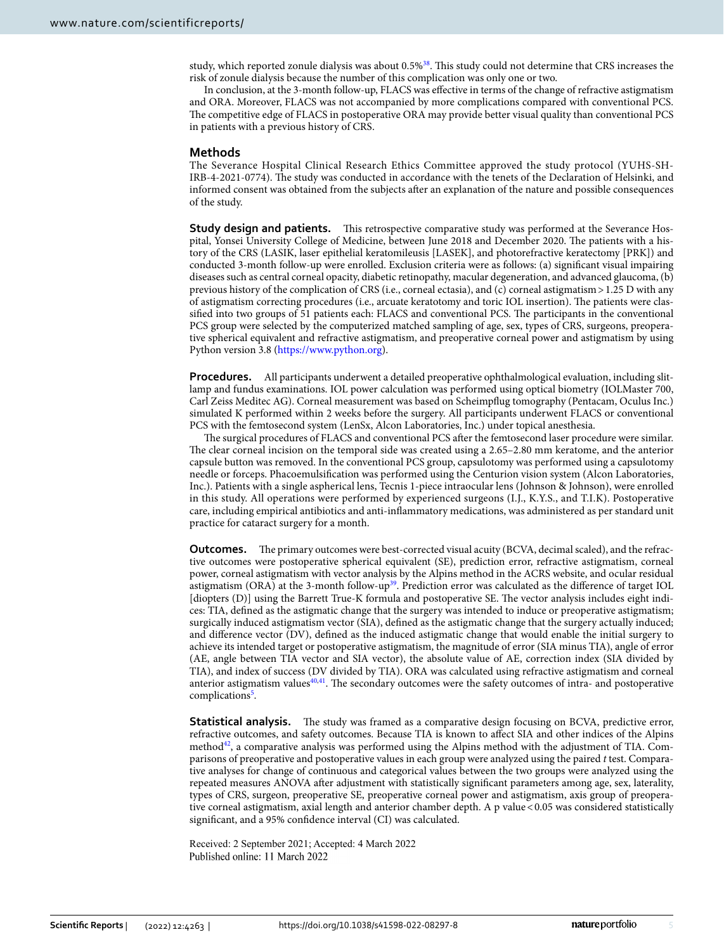study, which reported zonule dialysis was about 0.5%<sup>38</sup>. This study could not determine that CRS increases the risk of zonule dialysis because the number of this complication was only one or two.

In conclusion, at the 3-month follow-up, FLACS was efective in terms of the change of refractive astigmatism and ORA. Moreover, FLACS was not accompanied by more complications compared with conventional PCS. The competitive edge of FLACS in postoperative ORA may provide better visual quality than conventional PCS in patients with a previous history of CRS.

#### **Methods**

The Severance Hospital Clinical Research Ethics Committee approved the study protocol (YUHS-SH-IRB-4-2021-0774). The study was conducted in accordance with the tenets of the Declaration of Helsinki, and informed consent was obtained from the subjects afer an explanation of the nature and possible consequences of the study.

**Study design and patients.** This retrospective comparative study was performed at the Severance Hospital, Yonsei University College of Medicine, between June 2018 and December 2020. The patients with a history of the CRS (LASIK, laser epithelial keratomileusis [LASEK], and photorefractive keratectomy [PRK]) and conducted 3-month follow-up were enrolled. Exclusion criteria were as follows: (a) signifcant visual impairing diseases such as central corneal opacity, diabetic retinopathy, macular degeneration, and advanced glaucoma, (b) previous history of the complication of CRS (i.e., corneal ectasia), and (c) corneal astigmatism > 1.25 D with any of astigmatism correcting procedures (i.e., arcuate keratotomy and toric IOL insertion). Te patients were classified into two groups of 51 patients each: FLACS and conventional PCS. The participants in the conventional PCS group were selected by the computerized matched sampling of age, sex, types of CRS, surgeons, preoperative spherical equivalent and refractive astigmatism, and preoperative corneal power and astigmatism by using Python version 3.8 [\(https://www.python.org](https://www.python.org)).

**Procedures.** All participants underwent a detailed preoperative ophthalmological evaluation, including slitlamp and fundus examinations. IOL power calculation was performed using optical biometry (IOLMaster 700, Carl Zeiss Meditec AG). Corneal measurement was based on Scheimpfug tomography (Pentacam, Oculus Inc.) simulated K performed within 2 weeks before the surgery. All participants underwent FLACS or conventional PCS with the femtosecond system (LenSx, Alcon Laboratories, Inc.) under topical anesthesia.

The surgical procedures of FLACS and conventional PCS after the femtosecond laser procedure were similar. The clear corneal incision on the temporal side was created using a 2.65–2.80 mm keratome, and the anterior capsule button was removed. In the conventional PCS group, capsulotomy was performed using a capsulotomy needle or forceps. Phacoemulsifcation was performed using the Centurion vision system (Alcon Laboratories, Inc.). Patients with a single aspherical lens, Tecnis 1-piece intraocular lens (Johnson & Johnson), were enrolled in this study. All operations were performed by experienced surgeons (I.J., K.Y.S., and T.I.K). Postoperative care, including empirical antibiotics and anti-infammatory medications, was administered as per standard unit practice for cataract surgery for a month.

**Outcomes.** The primary outcomes were best-corrected visual acuity (BCVA, decimal scaled), and the refractive outcomes were postoperative spherical equivalent (SE), prediction error, refractive astigmatism, corneal power, corneal astigmatism with vector analysis by the Alpins method in the ACRS website, and ocular residual astigmatism (ORA) at the 3-month follow-up<sup>[39](#page-5-34)</sup>. Prediction error was calculated as the difference of target IOL [diopters (D)] using the Barrett True-K formula and postoperative SE. The vector analysis includes eight indices: TIA, defned as the astigmatic change that the surgery was intended to induce or preoperative astigmatism; surgically induced astigmatism vector (SIA), defned as the astigmatic change that the surgery actually induced; and diference vector (DV), defned as the induced astigmatic change that would enable the initial surgery to achieve its intended target or postoperative astigmatism, the magnitude of error (SIA minus TIA), angle of error (AE, angle between TIA vector and SIA vector), the absolute value of AE, correction index (SIA divided by TIA), and index of success (DV divided by TIA). ORA was calculated using refractive astigmatism and corneal anterior astigmatism values<sup>40,41</sup>. The secondary outcomes were the safety outcomes of intra- and postoperative complications<sup>5</sup>.

**Statistical analysis.** The study was framed as a comparative design focusing on BCVA, predictive error, refractive outcomes, and safety outcomes. Because TIA is known to afect SIA and other indices of the Alpins metho[d42,](#page-6-0) a comparative analysis was performed using the Alpins method with the adjustment of TIA. Comparisons of preoperative and postoperative values in each group were analyzed using the paired *t* test. Comparative analyses for change of continuous and categorical values between the two groups were analyzed using the repeated measures ANOVA afer adjustment with statistically signifcant parameters among age, sex, laterality, types of CRS, surgeon, preoperative SE, preoperative corneal power and astigmatism, axis group of preoperative corneal astigmatism, axial length and anterior chamber depth. A p value <0.05 was considered statistically signifcant, and a 95% confdence interval (CI) was calculated.

Received: 2 September 2021; Accepted: 4 March 2022Published online: 11 March 2022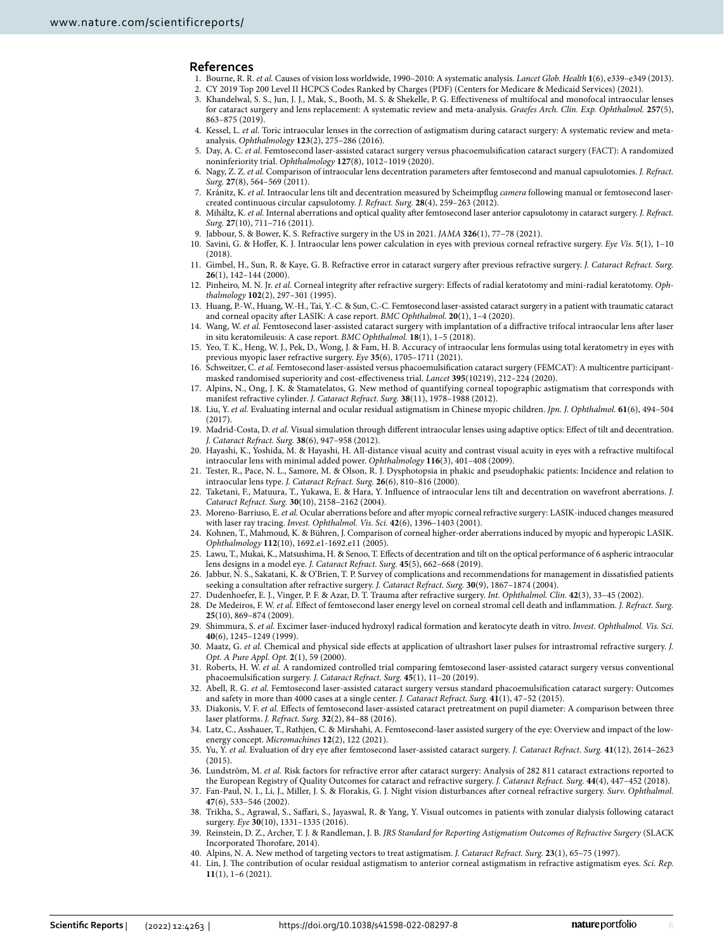#### **References**

- <span id="page-5-1"></span><span id="page-5-0"></span>1. Bourne, R. R. *et al.* Causes of vision loss worldwide, 1990–2010: A systematic analysis. *Lancet Glob. Health* **1**(6), e339–e349 (2013). 2. CY 2019 Top 200 Level II HCPCS Codes Ranked by Charges (PDF) (Centers for Medicare & Medicaid Services) (2021).
- <span id="page-5-2"></span>3. Khandelwal, S. S., Jun, J. J., Mak, S., Booth, M. S. & Shekelle, P. G. Efectiveness of multifocal and monofocal intraocular lenses
- for cataract surgery and lens replacement: A systematic review and meta-analysis. *Graefes Arch. Clin. Exp. Ophthalmol.* **257**(5), 863–875 (2019).
- 4. Kessel, L. *et al.* Toric intraocular lenses in the correction of astigmatism during cataract surgery: A systematic review and metaanalysis. *Ophthalmology* **123**(2), 275–286 (2016).
- <span id="page-5-3"></span>5. Day, A. C. *et al.* Femtosecond laser-assisted cataract surgery versus phacoemulsifcation cataract surgery (FACT): A randomized noninferiority trial. *Ophthalmology* **127**(8), 1012–1019 (2020).
- <span id="page-5-4"></span>6. Nagy, Z. Z. *et al.* Comparison of intraocular lens decentration parameters afer femtosecond and manual capsulotomies. *J. Refract. Surg.* **27**(8), 564–569 (2011).
- <span id="page-5-5"></span>7. Kránitz, K. *et al.* Intraocular lens tilt and decentration measured by Scheimpfug *camera* following manual or femtosecond lasercreated continuous circular capsulotomy. *J. Refract. Surg.* **28**(4), 259–263 (2012).
- <span id="page-5-6"></span>8. Miháltz, K. *et al.* Internal aberrations and optical quality afer femtosecond laser anterior capsulotomy in cataract surgery. *J. Refract. Surg.* **27**(10), 711–716 (2011).
- <span id="page-5-7"></span>9. Jabbour, S. & Bower, K. S. Refractive surgery in the US in 2021. *JAMA* **326**(1), 77–78 (2021).
- <span id="page-5-8"></span>10. Savini, G. & Hofer, K. J. Intraocular lens power calculation in eyes with previous corneal refractive surgery. *Eye Vis.* **5**(1), 1–10  $(2018)$
- <span id="page-5-9"></span>11. Gimbel, H., Sun, R. & Kaye, G. B. Refractive error in cataract surgery afer previous refractive surgery. *J. Cataract Refract. Surg.* **26**(1), 142–144 (2000).
- <span id="page-5-10"></span>12. Pinheiro, M. N. Jr. *et al.* Corneal integrity afer refractive surgery: Efects of radial keratotomy and mini-radial keratotomy. *Ophthalmology* **102**(2), 297–301 (1995).
- <span id="page-5-11"></span>13. Huang, P.-W., Huang, W.-H., Tai, Y.-C. & Sun, C.-C. Femtosecond laser-assisted cataract surgery in a patient with traumatic cataract and corneal opacity afer LASIK: A case report. *BMC Ophthalmol.* **20**(1), 1–4 (2020).
- <span id="page-5-12"></span>14. Wang, W. *et al.* Femtosecond laser-assisted cataract surgery with implantation of a difractive trifocal intraocular lens afer laser in situ keratomileusis: A case report. *BMC Ophthalmol.* **18**(1), 1–5 (2018).
- <span id="page-5-13"></span>15. Yeo, T. K., Heng, W. J., Pek, D., Wong, J. & Fam, H. B. Accuracy of intraocular lens formulas using total keratometry in eyes with previous myopic laser refractive surgery. *Eye* **35**(6), 1705–1711 (2021).
- <span id="page-5-14"></span>16. Schweitzer, C. *et al.* Femtosecond laser-assisted versus phacoemulsifcation cataract surgery (FEMCAT): A multicentre participantmasked randomised superiority and cost-efectiveness trial. *Lancet* **395**(10219), 212–224 (2020).
- <span id="page-5-15"></span>17. Alpins, N., Ong, J. K. & Stamatelatos, G. New method of quantifying corneal topographic astigmatism that corresponds with manifest refractive cylinder. *J. Cataract Refract. Surg.* **38**(11), 1978–1988 (2012).
- <span id="page-5-16"></span>18. Liu, Y. *et al.* Evaluating internal and ocular residual astigmatism in Chinese myopic children. *Jpn. J. Ophthalmol.* **61**(6), 494–504  $(2017)$
- <span id="page-5-17"></span>19. Madrid-Costa, D. *et al.* Visual simulation through diferent intraocular lenses using adaptive optics: Efect of tilt and decentration. *J. Cataract Refract. Surg.* **38**(6), 947–958 (2012).
- 20. Hayashi, K., Yoshida, M. & Hayashi, H. All-distance visual acuity and contrast visual acuity in eyes with a refractive multifocal intraocular lens with minimal added power. *Ophthalmology* **116**(3), 401–408 (2009).
- 21. Tester, R., Pace, N. L., Samore, M. & Olson, R. J. Dysphotopsia in phakic and pseudophakic patients: Incidence and relation to intraocular lens type. *J. Cataract Refract. Surg.* **26**(6), 810–816 (2000).
- <span id="page-5-18"></span>22. Taketani, F., Matuura, T., Yukawa, E. & Hara, Y. Infuence of intraocular lens tilt and decentration on wavefront aberrations. *J. Cataract Refract. Surg.* **30**(10), 2158–2162 (2004).
- <span id="page-5-19"></span>23. Moreno-Barriuso, E. *et al.* Ocular aberrations before and afer myopic corneal refractive surgery: LASIK-induced changes measured with laser ray tracing. *Invest. Ophthalmol. Vis. Sci.* **42**(6), 1396–1403 (2001).
- <span id="page-5-20"></span>24. Kohnen, T., Mahmoud, K. & Bühren, J. Comparison of corneal higher-order aberrations induced by myopic and hyperopic LASIK. *Ophthalmology* **112**(10), 1692.e1-1692.e11 (2005).
- <span id="page-5-21"></span>25. Lawu, T., Mukai, K., Matsushima, H. & Senoo, T. Efects of decentration and tilt on the optical performance of 6 aspheric intraocular lens designs in a model eye. *J. Cataract Refract. Surg.* **45**(5), 662–668 (2019).
- <span id="page-5-22"></span>26. Jabbur, N. S., Sakatani, K. & O'Brien, T. P. Survey of complications and recommendations for management in dissatisfed patients seeking a consultation after refractive surgery. *J. Cataract Refract. Surg.* 30(9), 1867-1874 (2004).
- <span id="page-5-23"></span>27. Dudenhoefer, E. J., Vinger, P. F. & Azar, D. T. Trauma afer refractive surgery. *Int. Ophthalmol. Clin.* **42**(3), 33–45 (2002).
- <span id="page-5-24"></span>28. De Medeiros, F. W. *et al.* Efect of femtosecond laser energy level on corneal stromal cell death and infammation. *J. Refract. Surg.* **25**(10), 869–874 (2009).
- 29. Shimmura, S. *et al.* Excimer laser-induced hydroxyl radical formation and keratocyte death in vitro. *Invest. Ophthalmol. Vis. Sci.* **40**(6), 1245–1249 (1999).
- <span id="page-5-25"></span>30. Maatz, G. *et al.* Chemical and physical side efects at application of ultrashort laser pulses for intrastromal refractive surgery. *J. Opt. A Pure Appl. Opt.* **2**(1), 59 (2000).
- <span id="page-5-26"></span>31. Roberts, H. W. *et al.* A randomized controlled trial comparing femtosecond laser-assisted cataract surgery versus conventional phacoemulsifcation surgery. *J. Cataract Refract. Surg.* **45**(1), 11–20 (2019).
- <span id="page-5-27"></span>32. Abell, R. G. *et al.* Femtosecond laser-assisted cataract surgery versus standard phacoemulsifcation cataract surgery: Outcomes and safety in more than 4000 cases at a single center. *J. Cataract Refract. Surg.* **41**(1), 47–52 (2015).
- <span id="page-5-28"></span>33. Diakonis, V. F. *et al.* Efects of femtosecond laser-assisted cataract pretreatment on pupil diameter: A comparison between three laser platforms. *J. Refract. Surg.* **32**(2), 84–88 (2016).
- <span id="page-5-29"></span>34. Latz, C., Asshauer, T., Rathjen, C. & Mirshahi, A. Femtosecond-laser assisted surgery of the eye: Overview and impact of the lowenergy concept. *Micromachines* **12**(2), 122 (2021).
- <span id="page-5-30"></span>35. Yu, Y. *et al.* Evaluation of dry eye afer femtosecond laser-assisted cataract surgery. *J. Cataract Refract. Surg.* **41**(12), 2614–2623 (2015).
- <span id="page-5-31"></span>36. Lundström, M. *et al.* Risk factors for refractive error afer cataract surgery: Analysis of 282 811 cataract extractions reported to the European Registry of Quality Outcomes for cataract and refractive surgery. *J. Cataract Refract. Surg.* **44**(4), 447–452 (2018).
- <span id="page-5-32"></span>37. Fan-Paul, N. I., Li, J., Miller, J. S. & Florakis, G. J. Night vision disturbances afer corneal refractive surgery. *Surv. Ophthalmol.* **47**(6), 533–546 (2002).
- <span id="page-5-33"></span>38. Trikha, S., Agrawal, S., Safari, S., Jayaswal, R. & Yang, Y. Visual outcomes in patients with zonular dialysis following cataract surgery. *Eye* **30**(10), 1331–1335 (2016).
- <span id="page-5-34"></span>39. Reinstein, D. Z., Archer, T. J. & Randleman, J. B. *JRS Standard for Reporting Astigmatism Outcomes of Refractive Surgery* (SLACK Incorporated Thorofare, 2014).
- <span id="page-5-35"></span>40. Alpins, N. A. New method of targeting vectors to treat astigmatism. *J. Cataract Refract. Surg.* **23**(1), 65–75 (1997).
- <span id="page-5-36"></span>41. Lin, J. Te contribution of ocular residual astigmatism to anterior corneal astigmatism in refractive astigmatism eyes. *Sci. Rep.* **11**(1), 1–6 (2021).